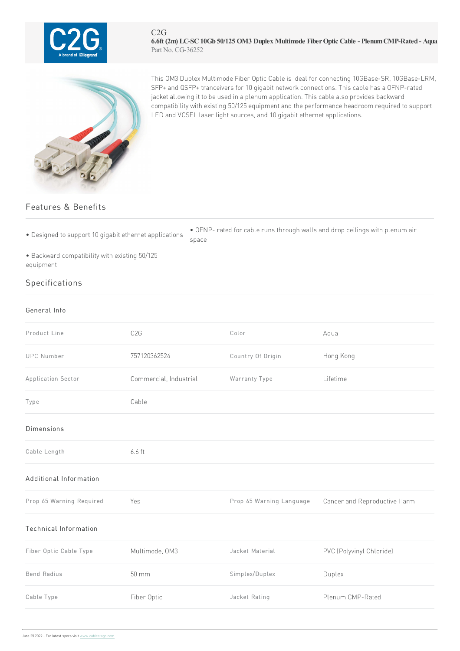

## C2G **6.6ft (2m) LC-SC10Gb 50/125 OM3 Duplex Multimode FiberOptic Cable - PlenumCMP-Rated - Aqua** Part No. CG-36252



This OM3 Duplex Multimode Fiber Optic Cable is ideal for connecting 10GBase-SR, 10GBase-LRM, SFP+ and QSFP+ tranceivers for 10 gigabit network connections. This cable has a OFNP-rated jacket allowing it to be used in a plenum application. This cable also provides backward compatibility with existing 50/125 equipment and the performance headroom required to support LED and VCSEL laser light sources, and 10 gigabit ethernet applications.

## Features & Benefits

• Designed to support 10 gigabit ethernet applications

• OFNP- rated for cable runs through walls and drop ceilings with plenum air space

• Backward compatibility with existing 50/125 equipment

## Specifications

## General Info

| Product Line                 | C <sub>2</sub> G       | Color                    | Aqua                         |
|------------------------------|------------------------|--------------------------|------------------------------|
| <b>UPC Number</b>            | 757120362524           | Country Of Origin        | Hong Kong                    |
| Application Sector           | Commercial, Industrial | Warranty Type            | Lifetime                     |
| Type                         | Cable                  |                          |                              |
| Dimensions                   |                        |                          |                              |
| Cable Length                 | 6.6 ft                 |                          |                              |
| Additional Information       |                        |                          |                              |
| Prop 65 Warning Required     | Yes                    | Prop 65 Warning Language | Cancer and Reproductive Harm |
| <b>Technical Information</b> |                        |                          |                              |
| Fiber Optic Cable Type       | Multimode, OM3         | Jacket Material          | PVC (Polyvinyl Chloride)     |
| <b>Bend Radius</b>           | $50 \, \text{mm}$      | Simplex/Duplex           | Duplex                       |
| Cable Type                   | Fiber Optic            | Jacket Rating            | Plenum CMP-Rated             |
|                              |                        |                          |                              |